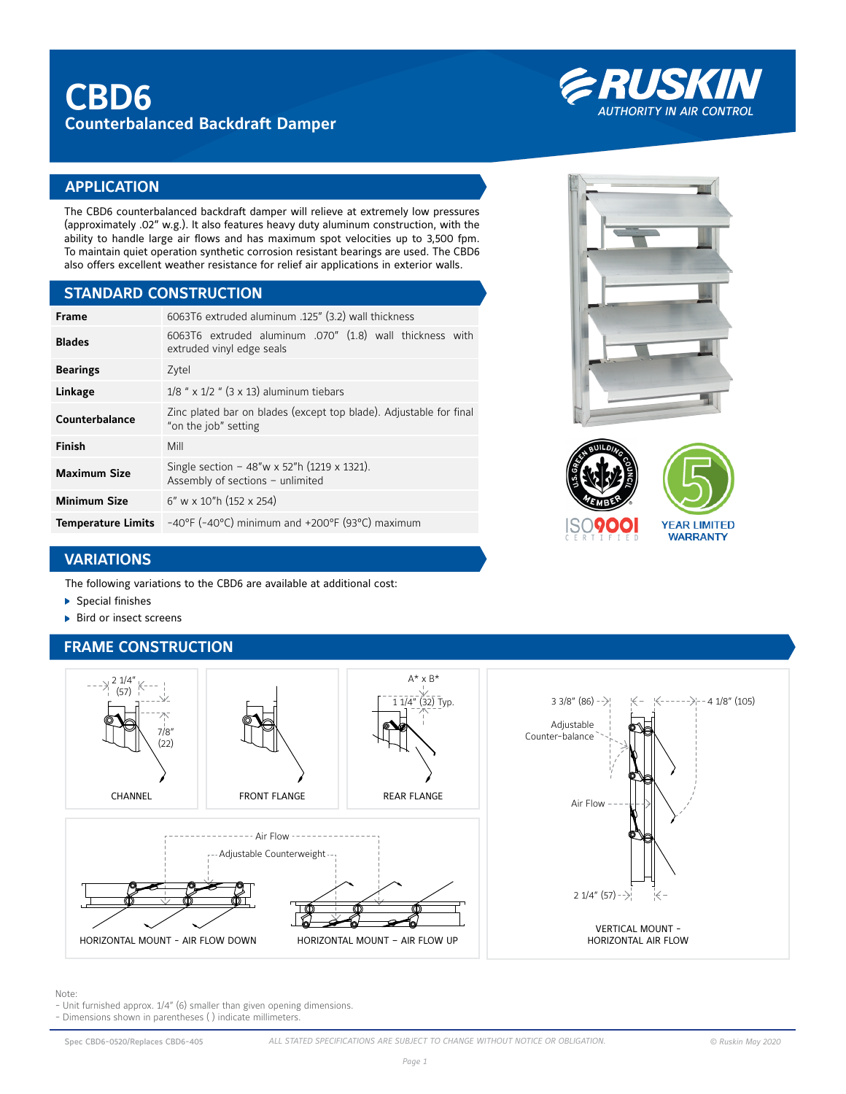

# **APPLICATION**

The CBD6 counterbalanced backdraft damper will relieve at extremely low pressures (approximately .02" w.g.). It also features heavy duty aluminum construction, with the ability to handle large air flows and has maximum spot velocities up to 3,500 fpm. To maintain quiet operation synthetic corrosion resistant bearings are used. The CBD6 also offers excellent weather resistance for relief air applications in exterior walls.

### **STANDARD CONSTRUCTION**

| <b>Frame</b>              | 6063T6 extruded aluminum .125" (3.2) wall thickness                                        |  |  |  |  |  |  |
|---------------------------|--------------------------------------------------------------------------------------------|--|--|--|--|--|--|
| <b>Blades</b>             | 6063T6 extruded aluminum .070" (1.8) wall thickness with<br>extruded vinyl edge seals      |  |  |  |  |  |  |
| <b>Bearings</b>           | Zytel                                                                                      |  |  |  |  |  |  |
| Linkage                   | $1/8$ " x $1/2$ " (3 x 13) aluminum tiebars                                                |  |  |  |  |  |  |
| Counterbalance            | Zinc plated bar on blades (except top blade). Adjustable for final<br>"on the job" setting |  |  |  |  |  |  |
| <b>Finish</b>             | Mill                                                                                       |  |  |  |  |  |  |
| <b>Maximum Size</b>       | Single section - 48"w x 52"h (1219 x 1321).<br>Assembly of sections - unlimited            |  |  |  |  |  |  |
| <b>Minimum Size</b>       | $6''$ w x 10"h (152 x 254)                                                                 |  |  |  |  |  |  |
| <b>Temperature Limits</b> | $-40^{\circ}$ F (-40°C) minimum and +200°F (93°C) maximum                                  |  |  |  |  |  |  |





# **VARIATIONS**

The following variations to the CBD6 are available at additional cost:

- Special finishes
- ▶ Bird or insect screens

# **FRAME CONSTRUCTION**



#### Note:

- Unit furnished approx. 1/4" (6) smaller than given opening dimensions.
- Dimensions shown in parentheses ( ) indicate millimeters.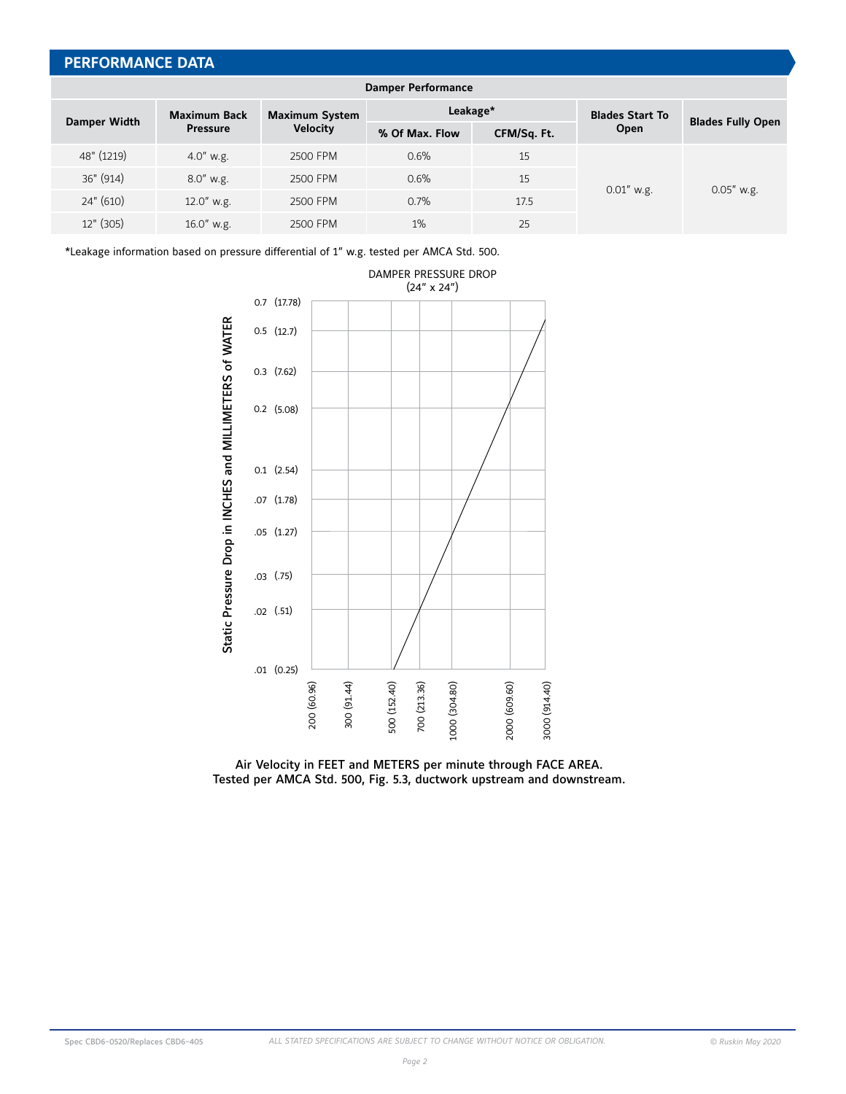# **PERFORMANCE DATA**

| <b>Damper Performance</b> |                                        |                                          |                |             |                        |                          |  |  |
|---------------------------|----------------------------------------|------------------------------------------|----------------|-------------|------------------------|--------------------------|--|--|
| <b>Damper Width</b>       | <b>Maximum Back</b><br><b>Pressure</b> | <b>Maximum System</b><br><b>Velocity</b> | Leakage*       |             | <b>Blades Start To</b> | <b>Blades Fully Open</b> |  |  |
|                           |                                        |                                          | % Of Max. Flow | CFM/Sq. Ft. | Open                   |                          |  |  |
| 48" (1219)                | $4.0''$ w.g.                           | 2500 FPM                                 | 0.6%           | 15          | $0.01''$ w.g.          | $0.05''$ w.g.            |  |  |
| 36" (914)                 | $8.0''$ w.g.                           | 2500 FPM                                 | 0.6%           | 15          |                        |                          |  |  |
| 24" (610)                 | $12.0''$ w.g.                          | 2500 FPM                                 | 0.7%           | 17.5        |                        |                          |  |  |
| $12"$ (305)               | $16.0''$ w.g.                          | 2500 FPM                                 | $1\%$          | 25          |                        |                          |  |  |

\*Leakage information based on pressure differential of 1" w.g. tested per AMCA Std. 500.



Air Velocity in FEET and METERS per minute through FACE AREA.